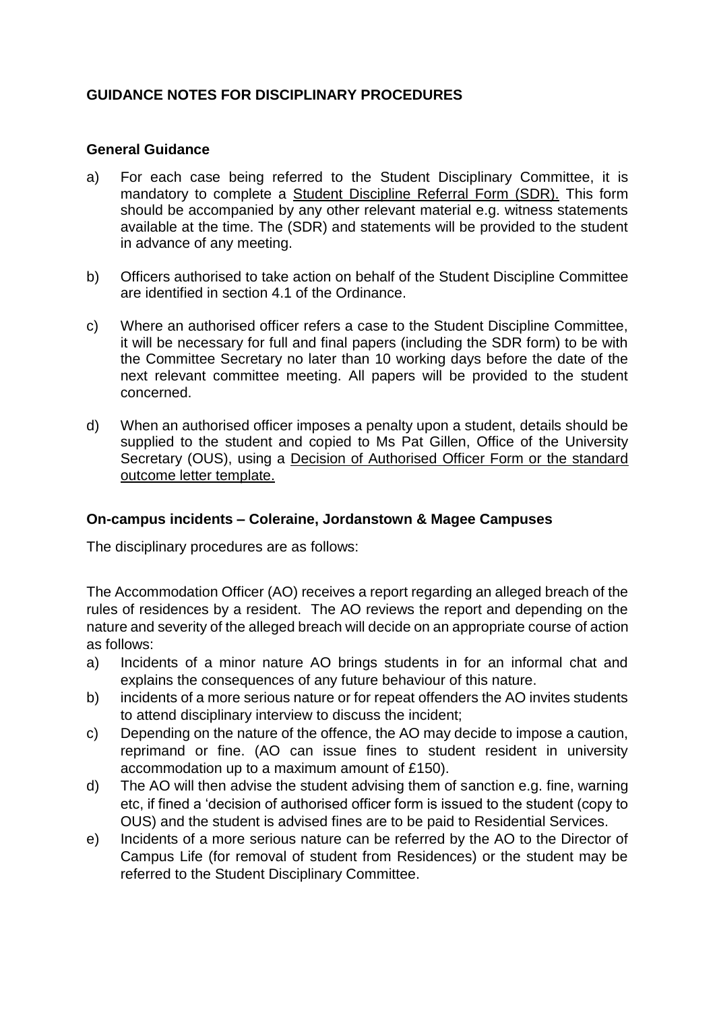## **GUIDANCE NOTES FOR DISCIPLINARY PROCEDURES**

## **General Guidance**

- a) For each case being referred to the Student Disciplinary Committee, it is mandatory to complete a Student Discipline Referral Form (SDR). This form should be accompanied by any other relevant material e.g. witness statements available at the time. The (SDR) and statements will be provided to the student in advance of any meeting.
- b) Officers authorised to take action on behalf of the Student Discipline Committee are identified in section 4.1 of the Ordinance.
- c) Where an authorised officer refers a case to the Student Discipline Committee, it will be necessary for full and final papers (including the SDR form) to be with the Committee Secretary no later than 10 working days before the date of the next relevant committee meeting. All papers will be provided to the student concerned.
- d) When an authorised officer imposes a penalty upon a student, details should be supplied to the student and copied to Ms Pat Gillen, Office of the University Secretary (OUS), using a Decision of Authorised Officer Form or the standard outcome letter template.

## **On-campus incidents – Coleraine, Jordanstown & Magee Campuses**

The disciplinary procedures are as follows:

The Accommodation Officer (AO) receives a report regarding an alleged breach of the rules of residences by a resident. The AO reviews the report and depending on the nature and severity of the alleged breach will decide on an appropriate course of action as follows:

- a) Incidents of a minor nature AO brings students in for an informal chat and explains the consequences of any future behaviour of this nature.
- b) incidents of a more serious nature or for repeat offenders the AO invites students to attend disciplinary interview to discuss the incident;
- c) Depending on the nature of the offence, the AO may decide to impose a caution, reprimand or fine. (AO can issue fines to student resident in university accommodation up to a maximum amount of £150).
- d) The AO will then advise the student advising them of sanction e.g. fine, warning etc, if fined a 'decision of authorised officer form is issued to the student (copy to OUS) and the student is advised fines are to be paid to Residential Services.
- e) Incidents of a more serious nature can be referred by the AO to the Director of Campus Life (for removal of student from Residences) or the student may be referred to the Student Disciplinary Committee.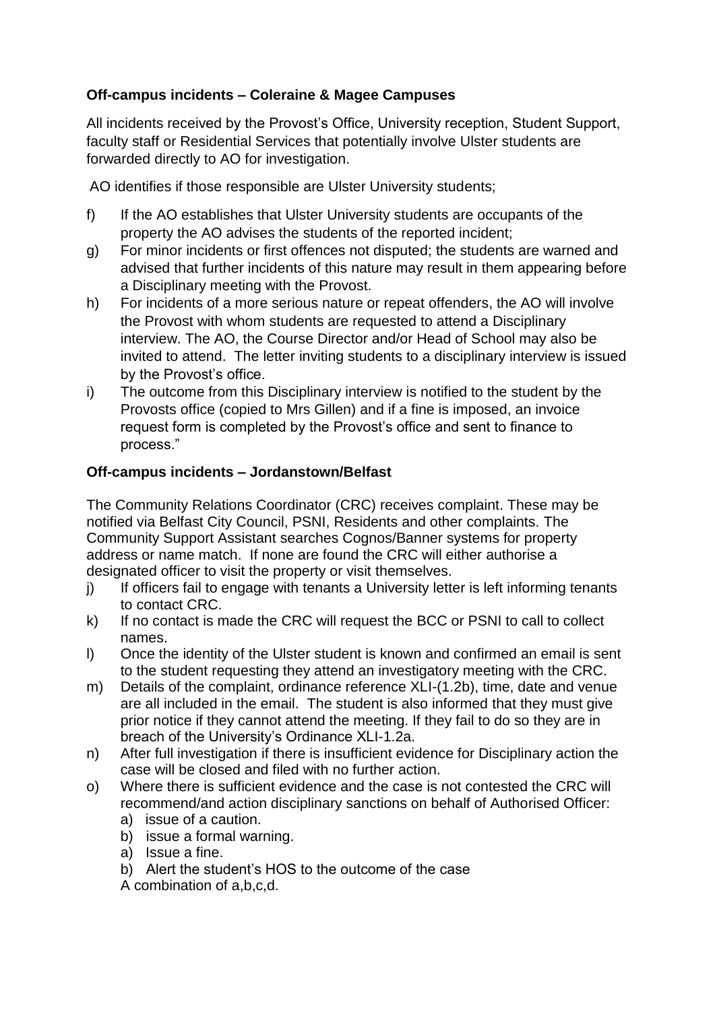# **Off-campus incidents – Coleraine & Magee Campuses**

All incidents received by the Provost's Office, University reception, Student Support, faculty staff or Residential Services that potentially involve Ulster students are forwarded directly to AO for investigation.

AO identifies if those responsible are Ulster University students;

- f) If the AO establishes that Ulster University students are occupants of the property the AO advises the students of the reported incident;
- g) For minor incidents or first offences not disputed; the students are warned and advised that further incidents of this nature may result in them appearing before a Disciplinary meeting with the Provost.
- h) For incidents of a more serious nature or repeat offenders, the AO will involve the Provost with whom students are requested to attend a Disciplinary interview. The AO, the Course Director and/or Head of School may also be invited to attend. The letter inviting students to a disciplinary interview is issued by the Provost's office.
- i) The outcome from this Disciplinary interview is notified to the student by the Provosts office (copied to Mrs Gillen) and if a fine is imposed, an invoice request form is completed by the Provost's office and sent to finance to process."

## **Off-campus incidents – Jordanstown/Belfast**

The Community Relations Coordinator (CRC) receives complaint. These may be notified via Belfast City Council, PSNI, Residents and other complaints. The Community Support Assistant searches Cognos/Banner systems for property address or name match. If none are found the CRC will either authorise a designated officer to visit the property or visit themselves.

- j) If officers fail to engage with tenants a University letter is left informing tenants to contact CRC.
- k) If no contact is made the CRC will request the BCC or PSNI to call to collect names.
- l) Once the identity of the Ulster student is known and confirmed an email is sent to the student requesting they attend an investigatory meeting with the CRC.
- m) Details of the complaint, ordinance reference XLI-(1.2b), time, date and venue are all included in the email. The student is also informed that they must give prior notice if they cannot attend the meeting. If they fail to do so they are in breach of the University's Ordinance XLI-1.2a.
- n) After full investigation if there is insufficient evidence for Disciplinary action the case will be closed and filed with no further action.
- o) Where there is sufficient evidence and the case is not contested the CRC will recommend/and action disciplinary sanctions on behalf of Authorised Officer:
	- a) issue of a caution.
	- b) issue a formal warning.
	- a) Issue a fine.
	- b) Alert the student's HOS to the outcome of the case
	- A combination of a,b,c,d.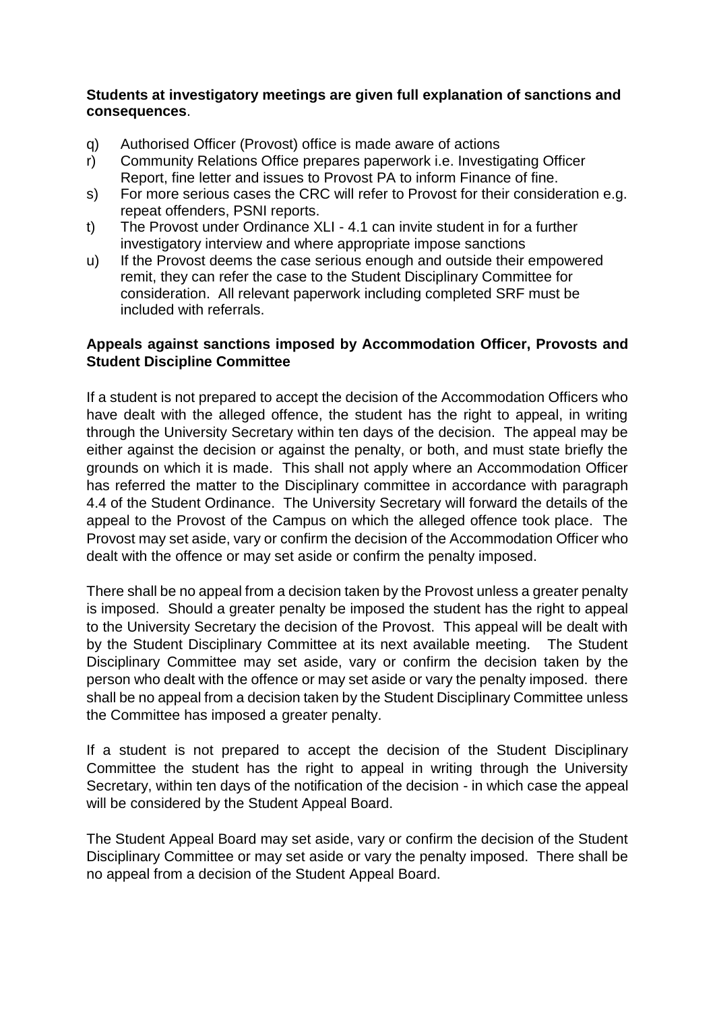#### **Students at investigatory meetings are given full explanation of sanctions and consequences**.

- q) Authorised Officer (Provost) office is made aware of actions
- r) Community Relations Office prepares paperwork i.e. Investigating Officer Report, fine letter and issues to Provost PA to inform Finance of fine.
- s) For more serious cases the CRC will refer to Provost for their consideration e.g. repeat offenders, PSNI reports.
- t) The Provost under Ordinance XLI 4.1 can invite student in for a further investigatory interview and where appropriate impose sanctions
- u) If the Provost deems the case serious enough and outside their empowered remit, they can refer the case to the Student Disciplinary Committee for consideration. All relevant paperwork including completed SRF must be included with referrals.

## **Appeals against sanctions imposed by Accommodation Officer, Provosts and Student Discipline Committee**

If a student is not prepared to accept the decision of the Accommodation Officers who have dealt with the alleged offence, the student has the right to appeal, in writing through the University Secretary within ten days of the decision. The appeal may be either against the decision or against the penalty, or both, and must state briefly the grounds on which it is made. This shall not apply where an Accommodation Officer has referred the matter to the Disciplinary committee in accordance with paragraph 4.4 of the Student Ordinance. The University Secretary will forward the details of the appeal to the Provost of the Campus on which the alleged offence took place. The Provost may set aside, vary or confirm the decision of the Accommodation Officer who dealt with the offence or may set aside or confirm the penalty imposed.

There shall be no appeal from a decision taken by the Provost unless a greater penalty is imposed. Should a greater penalty be imposed the student has the right to appeal to the University Secretary the decision of the Provost. This appeal will be dealt with by the Student Disciplinary Committee at its next available meeting. The Student Disciplinary Committee may set aside, vary or confirm the decision taken by the person who dealt with the offence or may set aside or vary the penalty imposed. there shall be no appeal from a decision taken by the Student Disciplinary Committee unless the Committee has imposed a greater penalty.

If a student is not prepared to accept the decision of the Student Disciplinary Committee the student has the right to appeal in writing through the University Secretary, within ten days of the notification of the decision - in which case the appeal will be considered by the Student Appeal Board.

The Student Appeal Board may set aside, vary or confirm the decision of the Student Disciplinary Committee or may set aside or vary the penalty imposed. There shall be no appeal from a decision of the Student Appeal Board.